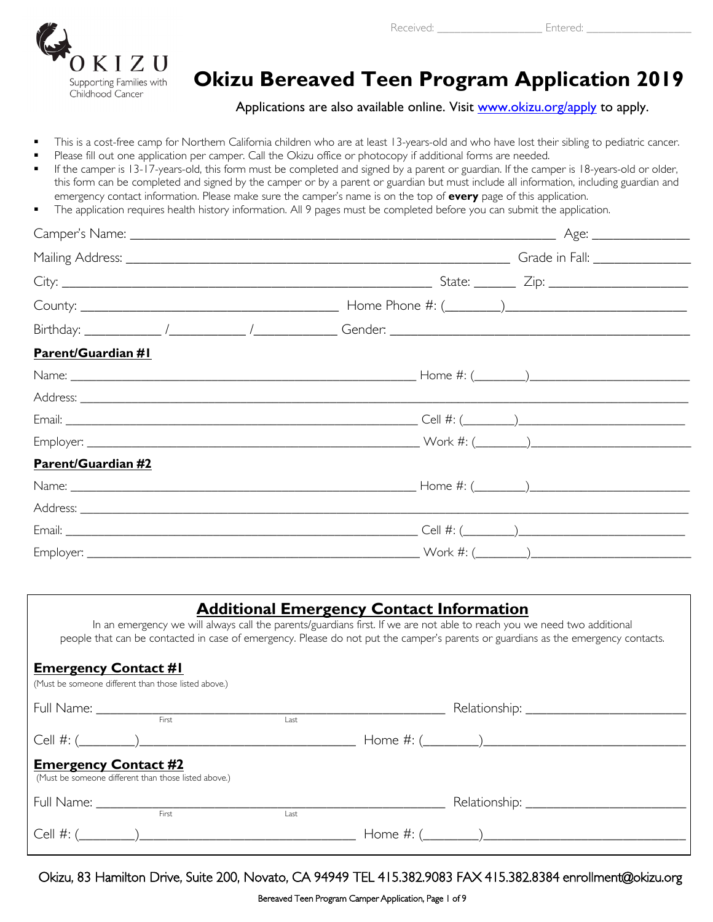

Received: **Entered: Entered:** 

# **Okizu Bereaved Teen Program Application 2019**

Applications are also available online. Visit [www.okizu.org/apply](http://www.okizu.org/apply) to apply.

- This is a cost-free camp for Northern California children who are at least 13-years-old and who have lost their sibling to pediatric cancer.
- Please fill out one application per camper. Call the Okizu office or photocopy if additional forms are needed.
- If the camper is 13-17-years-old, this form must be completed and signed by a parent or guardian. If the camper is 18-years-old or older, this form can be completed and signed by the camper or by a parent or guardian but must include all information, including guardian and emergency contact information. Please make sure the camper's name is on the top of **every** page of this application.
- The application requires health history information. All 9 pages must be completed before you can submit the application.

| <b>Parent/Guardian #I</b> |  |
|---------------------------|--|
|                           |  |
|                           |  |
|                           |  |
|                           |  |
| Parent/Guardian #2        |  |
|                           |  |
|                           |  |
|                           |  |
|                           |  |

# **Additional Emergency Contact Information**

In an emergency we will always call the parents/guardians first. If we are not able to reach you we need two additional people that can be contacted in case of emergency. Please do not put the camper's parents or guardians as the emergency contacts.

#### **Emergency Contact #1**

| (Must be someone different than those listed above.)                                |       |                               |  |
|-------------------------------------------------------------------------------------|-------|-------------------------------|--|
|                                                                                     |       |                               |  |
|                                                                                     | First | Last                          |  |
|                                                                                     |       |                               |  |
| <b>Emergency Contact #2</b><br>(Must be someone different than those listed above.) |       |                               |  |
|                                                                                     | First |                               |  |
|                                                                                     |       | Last                          |  |
|                                                                                     |       | $Cell$ #: ( $\qquad \qquad$ ) |  |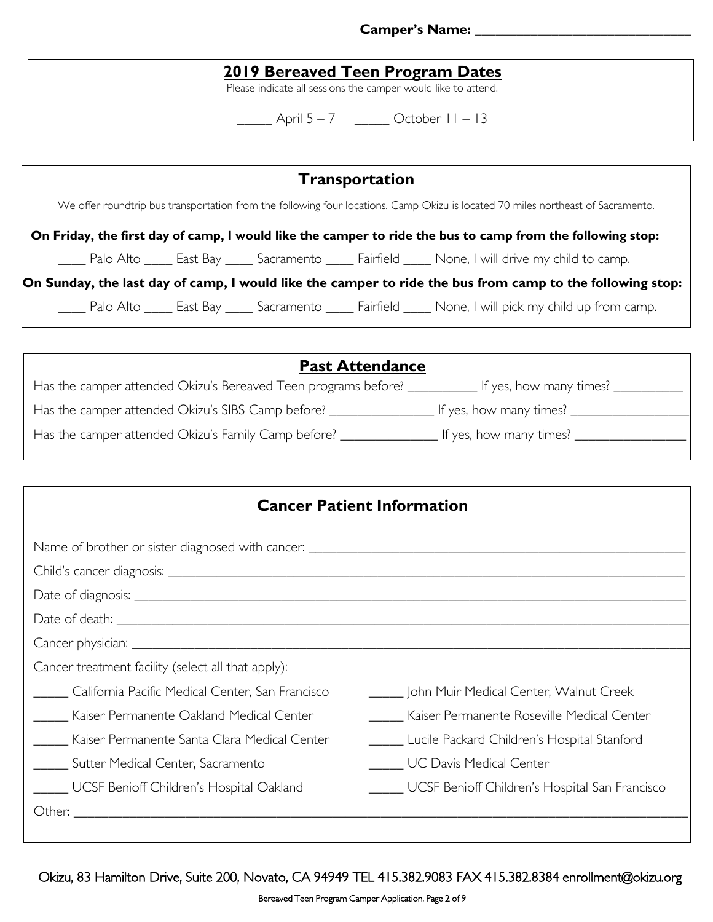#### **Camper's Name: \_\_\_\_\_\_\_\_\_\_\_\_\_\_\_\_\_\_\_\_\_\_\_\_\_\_\_\_\_\_\_**

# **2019 Bereaved Teen Program Dates**

Please indicate all sessions the camper would like to attend.

\_\_\_\_\_ April 5 – 7 \_\_\_\_\_ October 11 – 13

| <b>Transportation</b>                                                                                                            |  |  |  |  |                                                                                                               |
|----------------------------------------------------------------------------------------------------------------------------------|--|--|--|--|---------------------------------------------------------------------------------------------------------------|
| We offer roundtrip bus transportation from the following four locations. Camp Okizu is located 70 miles northeast of Sacramento. |  |  |  |  |                                                                                                               |
| On Friday, the first day of camp, I would like the camper to ride the bus to camp from the following stop:                       |  |  |  |  |                                                                                                               |
|                                                                                                                                  |  |  |  |  | Palo Alto _____ East Bay _____ Sacramento _____ Fairfield _____ None, I will drive my child to camp.          |
| On Sunday, the last day of camp, I would like the camper to ride the bus from camp to the following stop:                        |  |  |  |  |                                                                                                               |
|                                                                                                                                  |  |  |  |  | ____ Palo Alto _____ East Bay _____ Sacramento _____ Fairfield _____ None, I will pick my child up from camp. |

| <b>Past Attendance</b>                                         |                               |
|----------------------------------------------------------------|-------------------------------|
| Has the camper attended Okizu's Bereaved Teen programs before? | If yes, how many times? _____ |
| Has the camper attended Okizu's SIBS Camp before?              | If yes, how many times?       |
| Has the camper attended Okizu's Family Camp before?            | If yes, how many times?       |

| <b>Cancer Patient Information</b>                          |                                                |  |  |  |
|------------------------------------------------------------|------------------------------------------------|--|--|--|
|                                                            |                                                |  |  |  |
|                                                            |                                                |  |  |  |
|                                                            |                                                |  |  |  |
|                                                            |                                                |  |  |  |
|                                                            |                                                |  |  |  |
| Cancer treatment facility (select all that apply):         |                                                |  |  |  |
| California Pacific Medical Center, San Francisco           | _____ John Muir Medical Center, Walnut Creek   |  |  |  |
| <b>Example 21 Kaiser Permanente Oakland Medical Center</b> | Kaiser Permanente Roseville Medical Center     |  |  |  |
| Kaiser Permanente Santa Clara Medical Center               | Lucile Packard Children's Hospital Stanford    |  |  |  |
| Sutter Medical Center, Sacramento                          | UC Davis Medical Center                        |  |  |  |
| ____ UCSF Benioff Children's Hospital Oakland              | UCSF Benioff Children's Hospital San Francisco |  |  |  |
|                                                            |                                                |  |  |  |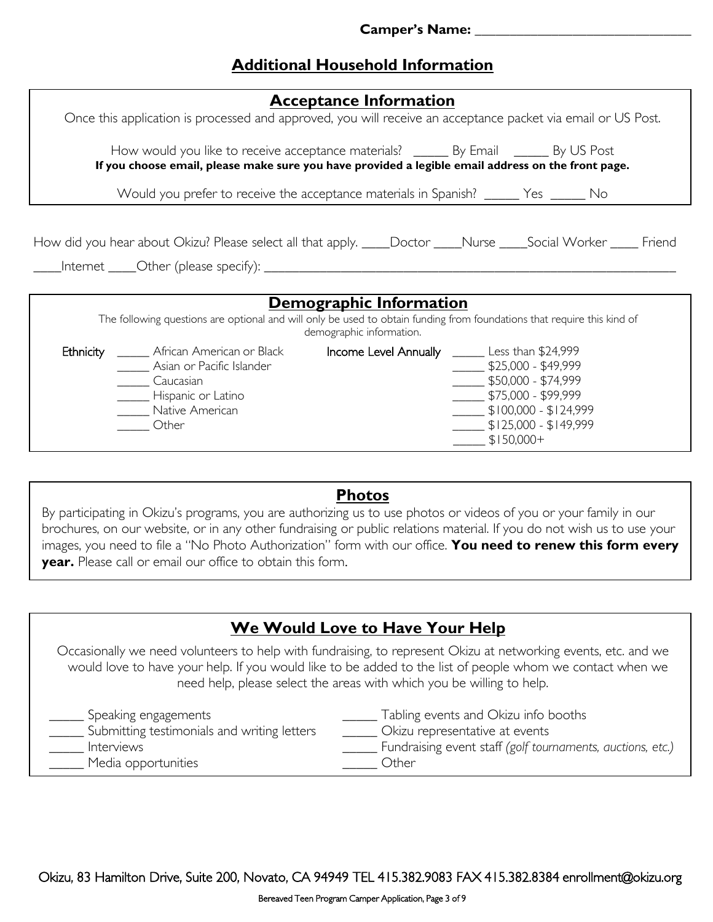# **Additional Household Information**

| <b>Acceptance Information</b><br>Once this application is processed and approved, you will receive an acceptance packet via email or US Post.                                                                                                                                                                                                                                                                          |
|------------------------------------------------------------------------------------------------------------------------------------------------------------------------------------------------------------------------------------------------------------------------------------------------------------------------------------------------------------------------------------------------------------------------|
| How would you like to receive acceptance materials? _______ By Email _______ By US Post<br>If you choose email, please make sure you have provided a legible email address on the front page.                                                                                                                                                                                                                          |
| Would you prefer to receive the acceptance materials in Spanish? ______ Yes ______ No                                                                                                                                                                                                                                                                                                                                  |
| How did you hear about Okizu? Please select all that apply. ____Doctor ____Nurse ____Social Worker _____ Friend                                                                                                                                                                                                                                                                                                        |
| Demographic Information                                                                                                                                                                                                                                                                                                                                                                                                |
| The following questions are optional and will only be used to obtain funding from foundations that require this kind of<br>demographic information.                                                                                                                                                                                                                                                                    |
| Ethnicity<br><b>Income Level Annually</b> ______ Less than \$24,999<br>_______ African American or Black<br>$\frac{1}{2}$ \$25,000 - \$49,999<br>Asian or Pacific Islander<br>$\frac{1}{2}$ \$50,000 - \$74,999<br>Caucasian<br>$\frac{1}{2}$ \$75,000 - \$99,999<br>______ Hispanic or Latino<br>$\frac{1}{1}$ \$100,000 - \$124,999<br>Native American<br>$$125,000 - $149,999$<br>Other<br>$\frac{1}{2}$ \$150,000+ |

### **Photos**

By participating in Okizu's programs, you are authorizing us to use photos or videos of you or your family in our brochures, on our website, or in any other fundraising or public relations material. If you do not wish us to use your images, you need to file a "No Photo Authorization" form with our office. **You need to renew this form every year.** Please call or email our office to obtain this form.

| We Would Love to Have Your Help                                                                                                                                                                                                                                                                      |
|------------------------------------------------------------------------------------------------------------------------------------------------------------------------------------------------------------------------------------------------------------------------------------------------------|
| Occasionally we need volunteers to help with fundraising, to represent Okizu at networking events, etc. and we<br>would love to have your help. If you would like to be added to the list of people whom we contact when we<br>need help, please select the areas with which you be willing to help. |
| Tabling events and Okizu info booths<br>___ Speaking engagements<br>Submitting testimonials and writing letters<br>Okizu representative at events<br>Fundraising event staff (golf tournaments, auctions, etc.)<br>Interviews<br>Media opportunities<br>Other                                        |
|                                                                                                                                                                                                                                                                                                      |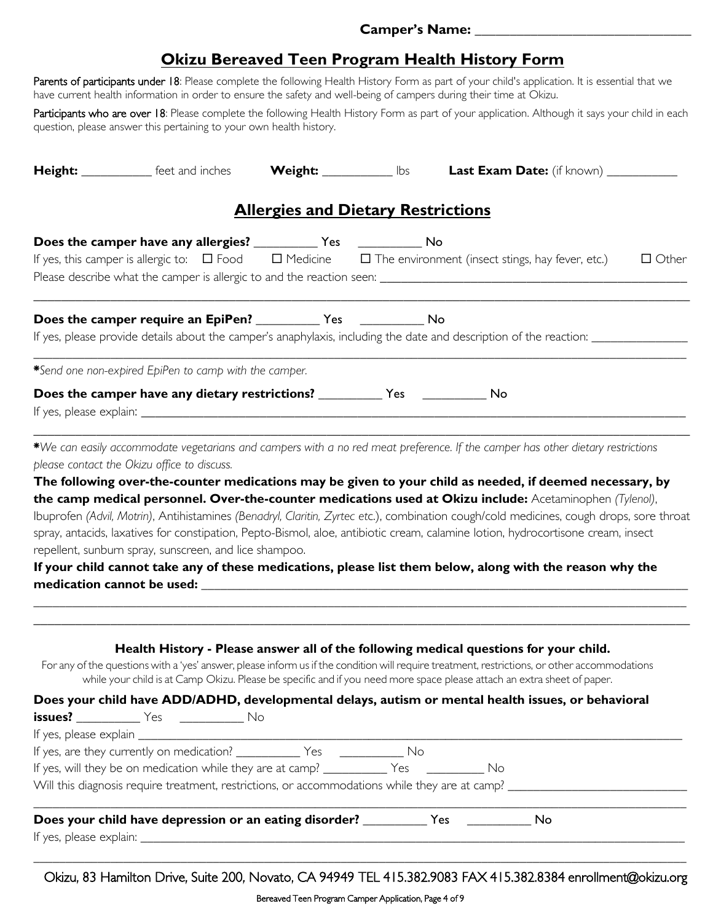# **Okizu Bereaved Teen Program Health History Form**

Parents of participants under 18: Please complete the following Health History Form as part of your child's application. It is essential that we have current health information in order to ensure the safety and well-being of campers during their time at Okizu.

Participants who are over 18: Please complete the following Health History Form as part of your application. Although it says your child in each question, please answer this pertaining to your own health history.

|                                                                                                       |                                           | Height: ____________ feet and inches Weight: ___________ lbs Last Exam Date: (if known) ___________                                                                                                                                                                                                                                                                                                                                                                                                                                                                                                              |              |
|-------------------------------------------------------------------------------------------------------|-------------------------------------------|------------------------------------------------------------------------------------------------------------------------------------------------------------------------------------------------------------------------------------------------------------------------------------------------------------------------------------------------------------------------------------------------------------------------------------------------------------------------------------------------------------------------------------------------------------------------------------------------------------------|--------------|
|                                                                                                       | <b>Allergies and Dietary Restrictions</b> |                                                                                                                                                                                                                                                                                                                                                                                                                                                                                                                                                                                                                  |              |
| Does the camper have any allergies? ______________ Yes _________________ No                           |                                           | If yes, this camper is allergic to: $\Box$ Food $\Box$ Medicine $\Box$ The environment (insect stings, hay fever, etc.)                                                                                                                                                                                                                                                                                                                                                                                                                                                                                          | $\Box$ Other |
|                                                                                                       |                                           | If yes, please provide details about the camper's anaphylaxis, including the date and description of the reaction: ____________________                                                                                                                                                                                                                                                                                                                                                                                                                                                                          |              |
| *Send one non-expired EpiPen to camp with the camper.                                                 |                                           |                                                                                                                                                                                                                                                                                                                                                                                                                                                                                                                                                                                                                  |              |
|                                                                                                       |                                           |                                                                                                                                                                                                                                                                                                                                                                                                                                                                                                                                                                                                                  |              |
| please contact the Okizu office to discuss.<br>repellent, sunburn spray, sunscreen, and lice shampoo. |                                           | The following over-the-counter medications may be given to your child as needed, if deemed necessary, by<br>the camp medical personnel. Over-the-counter medications used at Okizu include: Acetaminophen (Tylenol),<br>Ibuprofen (Advil, Motrin), Antihistamines (Benadryl, Claritin, Zyrtec etc.), combination cough/cold medicines, cough drops, sore throat<br>spray, antacids, laxatives for constipation, Pepto-Bismol, aloe, antibiotic cream, calamine lotion, hydrocortisone cream, insect<br>If your child cannot take any of these medications, please list them below, along with the reason why the |              |
| <b>issues?</b> Mo Yes Mo No                                                                           |                                           | Health History - Please answer all of the following medical questions for your child.<br>For any of the questions with a 'yes' answer, please inform us if the condition will require treatment, restrictions, or other accommodations<br>while your child is at Camp Okizu. Please be specific and if you need more space please attach an extra sheet of paper.<br>Does your child have ADD/ADHD, developmental delays, autism or mental health issues, or behavioral                                                                                                                                          |              |
| If yes, will they be on medication while they are at camp? _____________ Yes ______________ No        |                                           | Will this diagnosis require treatment, restrictions, or accommodations while they are at camp?                                                                                                                                                                                                                                                                                                                                                                                                                                                                                                                   |              |
|                                                                                                       |                                           |                                                                                                                                                                                                                                                                                                                                                                                                                                                                                                                                                                                                                  |              |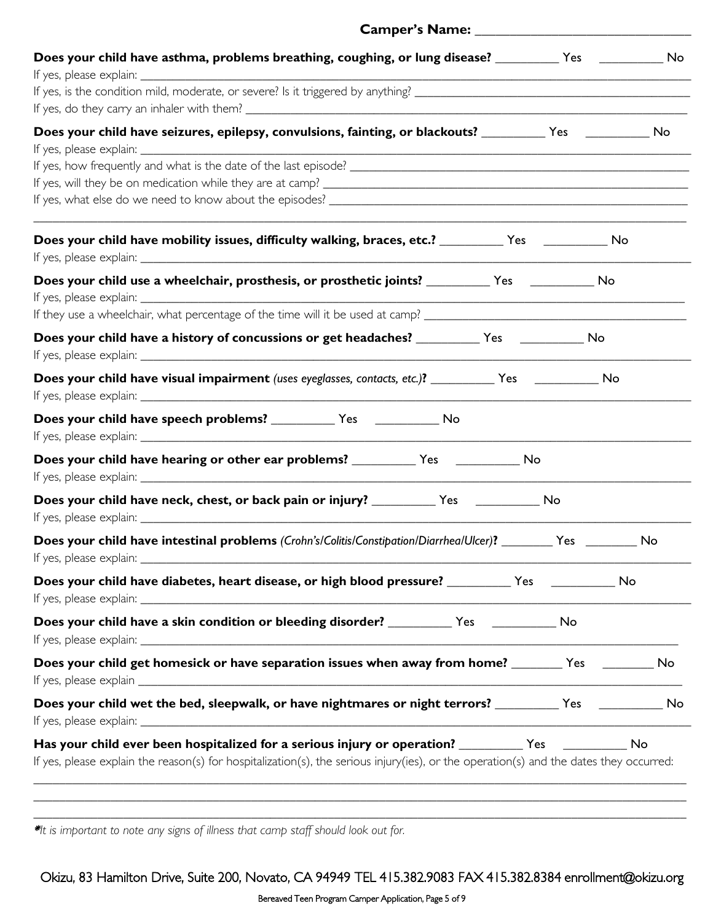| Does your child have asthma, problems breathing, coughing, or lung disease? _________ Yes __________ No                                                                                                                                     |
|---------------------------------------------------------------------------------------------------------------------------------------------------------------------------------------------------------------------------------------------|
|                                                                                                                                                                                                                                             |
| Does your child have seizures, epilepsy, convulsions, fainting, or blackouts? _________ Yes _________ No                                                                                                                                    |
| Does your child have mobility issues, difficulty walking, braces, etc.? _________ Yes _________ No                                                                                                                                          |
| Does your child use a wheelchair, prosthesis, or prosthetic joints? ___________Yes _______________No                                                                                                                                        |
| Does your child have a history of concussions or get headaches? ___________ Yes ____________ No                                                                                                                                             |
| Does your child have visual impairment (uses eyeglasses, contacts, etc.)? ___________ Yes ___________ No                                                                                                                                    |
|                                                                                                                                                                                                                                             |
|                                                                                                                                                                                                                                             |
| Does your child have neck, chest, or back pain or injury? ____________ Yes ____________ No                                                                                                                                                  |
| Does your child have intestinal problems (Crohn's/Colitis/Constipation/Diarrhea/Ulcer)? _______ Yes _______ No                                                                                                                              |
| Does your child have diabetes, heart disease, or high blood pressure? _________ Yes __________ No                                                                                                                                           |
| Does your child have a skin condition or bleeding disorder? ____________ Yes _____________ No                                                                                                                                               |
| Does your child get homesick or have separation issues when away from home? _______ Yes _______ No                                                                                                                                          |
| Does your child wet the bed, sleepwalk, or have nightmares or night terrors? _________ Yes __________ No                                                                                                                                    |
| Has your child ever been hospitalized for a serious injury or operation? ________ Yes ________ No<br>If yes, please explain the reason(s) for hospitalization(s), the serious injury(ies), or the operation(s) and the dates they occurred: |
|                                                                                                                                                                                                                                             |

Camper's Name:

\**It is important to note any signs of illness that camp staff should look out for.*

Okizu, 83 Hamilton Drive, Suite 200, Novato, CA 94949 TEL 415.382.9083 FAX 415.382.8384 enrollment@okizu.org

\_\_\_\_\_\_\_\_\_\_\_\_\_\_\_\_\_\_\_\_\_\_\_\_\_\_\_\_\_\_\_\_\_\_\_\_\_\_\_\_\_\_\_\_\_**\_\_\_\_\_\_\_\_\_\_\_\_\_\_\_\_\_\_\_\_\_\_\_\_\_\_\_\_\_\_\_\_\_\_\_\_\_\_\_\_\_\_\_\_\_\_\_\_\_\_\_\_\_\_\_\_\_**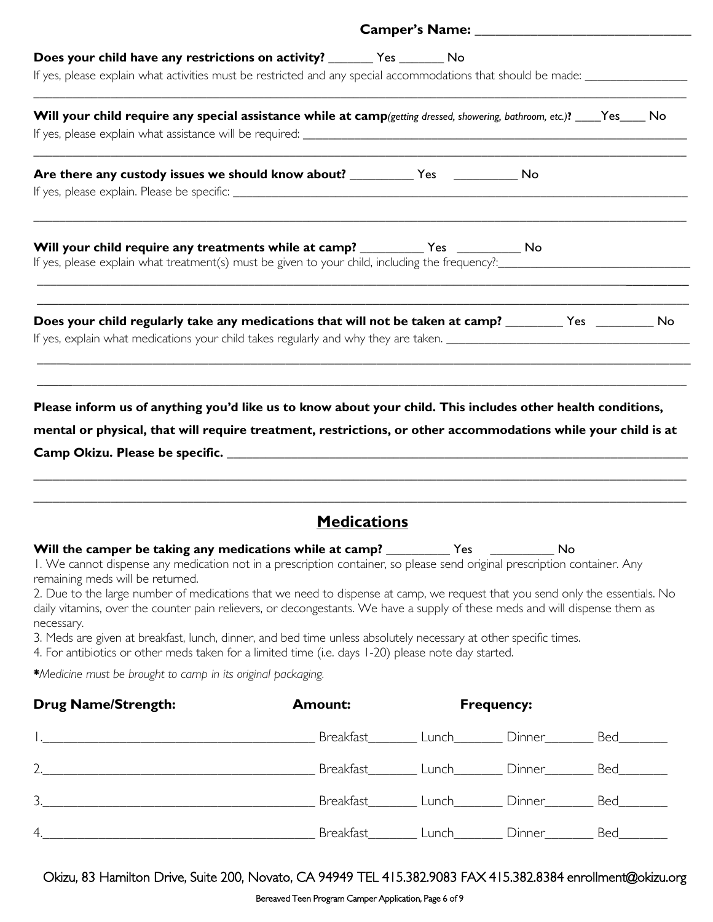| Does your child have any restrictions on activity? ________ Yes ________ No                                                                                                                                                  |  |  |  |  |  |
|------------------------------------------------------------------------------------------------------------------------------------------------------------------------------------------------------------------------------|--|--|--|--|--|
| If yes, please explain what activities must be restricted and any special accommodations that should be made: _________________________                                                                                      |  |  |  |  |  |
| Will your child require any special assistance while at camp(getting dressed, showering, bathroom, etc.)? ___Yes____ No                                                                                                      |  |  |  |  |  |
|                                                                                                                                                                                                                              |  |  |  |  |  |
|                                                                                                                                                                                                                              |  |  |  |  |  |
|                                                                                                                                                                                                                              |  |  |  |  |  |
| Will your child require any treatments while at camp? __________ Yes __________ No                                                                                                                                           |  |  |  |  |  |
| Does your child regularly take any medications that will not be taken at camp? ________ Yes ________ No                                                                                                                      |  |  |  |  |  |
|                                                                                                                                                                                                                              |  |  |  |  |  |
|                                                                                                                                                                                                                              |  |  |  |  |  |
| Please inform us of anything you'd like us to know about your child. This includes other health conditions,<br>mental or physical, that will require treatment, restrictions, or other accommodations while your child is at |  |  |  |  |  |

|  | Camp Okizu. Please be specific. |  |
|--|---------------------------------|--|
|--|---------------------------------|--|

### **Medications**

\_\_\_\_\_\_\_\_\_\_\_\_\_\_\_\_\_\_\_\_\_\_\_\_\_\_\_\_\_\_\_\_\_\_\_\_\_\_\_\_\_\_\_\_\_\_\_\_\_\_\_\_\_\_\_\_\_\_\_\_\_\_\_\_\_\_\_\_\_\_\_\_\_\_\_\_\_\_\_\_\_\_\_\_\_\_\_\_\_\_\_\_\_\_\_\_\_\_\_\_\_\_ \_\_\_\_\_\_\_\_\_\_\_\_\_\_\_\_\_\_\_\_\_\_\_\_\_\_\_\_\_\_\_\_\_\_\_\_\_\_\_\_\_\_\_\_\_\_\_\_\_\_\_\_\_\_\_\_\_\_\_\_\_\_\_\_\_\_\_\_\_\_\_\_\_\_\_\_\_\_\_\_\_\_\_\_\_\_\_\_\_\_\_\_\_\_\_\_\_\_\_\_\_\_

|  | Will the camper be taking any medications while at camp? |  | Nο |
|--|----------------------------------------------------------|--|----|
|--|----------------------------------------------------------|--|----|

1. We cannot dispense any medication not in a prescription container, so please send original prescription container. Any remaining meds will be returned.

2. Due to the large number of medications that we need to dispense at camp, we request that you send only the essentials. No daily vitamins, over the counter pain relievers, or decongestants. We have a supply of these meds and will dispense them as necessary.

3. Meds are given at breakfast, lunch, dinner, and bed time unless absolutely necessary at other specific times.

4. For antibiotics or other meds taken for a limited time (i.e. days 1-20) please note day started.

\**Medicine must be brought to camp in its original packaging.*

| <b>Drug Name/Strength:</b> | <b>Amount:</b> | <b>Frequency:</b> |              |     |  |
|----------------------------|----------------|-------------------|--------------|-----|--|
|                            | Breakfast      | Lunch             | Dinner____   | Bed |  |
| 2.                         | Breakfast      | Lunch             | Dinner____   | Bed |  |
| 3.                         | Breakfast      |                   | Lunch Dinner | Bed |  |
| 4.                         | Breakfast      | Lunch             | Dinner       | Bed |  |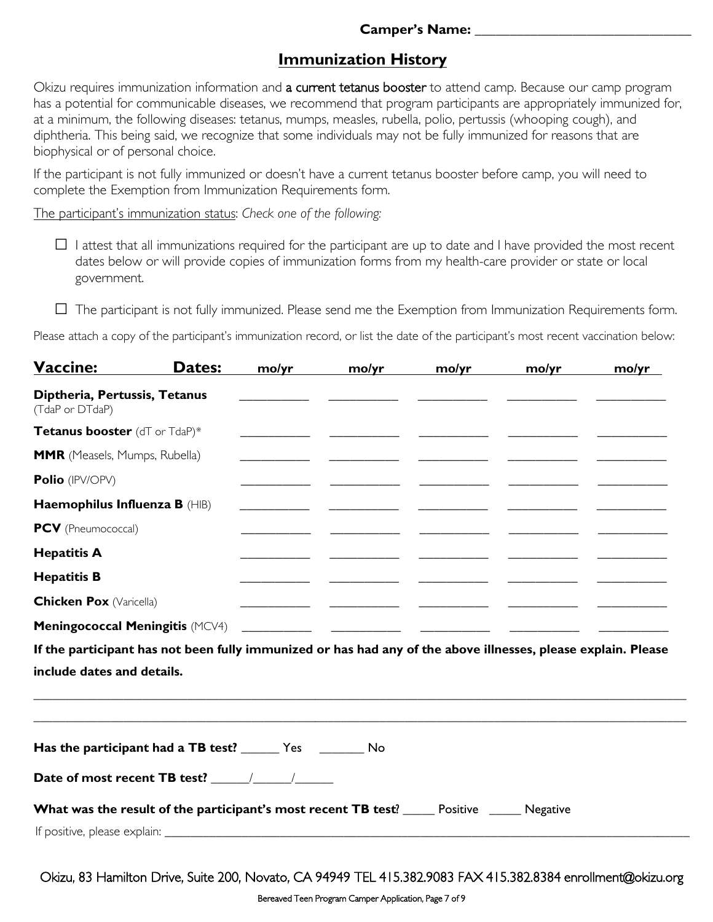#### **Camper's Name: \_\_\_\_\_\_\_\_\_\_\_\_\_\_\_\_\_\_\_\_\_\_\_\_\_\_\_\_\_\_\_**

# **Immunization History**

Okizu requires immunization information and a current tetanus booster to attend camp. Because our camp program has a potential for communicable diseases, we recommend that program participants are appropriately immunized for, at a minimum, the following diseases: tetanus, mumps, measles, rubella, polio, pertussis (whooping cough), and diphtheria. This being said, we recognize that some individuals may not be fully immunized for reasons that are biophysical or of personal choice.

If the participant is not fully immunized or doesn't have a current tetanus booster before camp, you will need to complete the Exemption from Immunization Requirements form.

The participant's immunization status: *Check one of the following:*

 $\Box$  I attest that all immunizations required for the participant are up to date and I have provided the most recent dates below or will provide copies of immunization forms from my health-care provider or state or local government.

 $\Box$  The participant is not fully immunized. Please send me the Exemption from Immunization Requirements form.

Please attach a copy of the participant's immunization record, or list the date of the participant's most recent vaccination below:

| Vaccine:                                                                                                      | Dates: | mo/yr | mo/yr | mo/yr                                                                                                                  | mo/yr | mo/yr |
|---------------------------------------------------------------------------------------------------------------|--------|-------|-------|------------------------------------------------------------------------------------------------------------------------|-------|-------|
| Diptheria, Pertussis, Tetanus<br>(TdaP or DTdaP)                                                              |        |       |       |                                                                                                                        |       |       |
| Tetanus booster (dT or TdaP)*                                                                                 |        |       |       |                                                                                                                        |       |       |
| <b>MMR</b> (Measels, Mumps, Rubella)                                                                          |        |       |       |                                                                                                                        |       |       |
| Polio (IPV/OPV)                                                                                               |        |       |       |                                                                                                                        |       |       |
| Haemophilus Influenza B (HIB)                                                                                 |        |       |       |                                                                                                                        |       |       |
| PCV (Pneumococcal)                                                                                            |        |       |       |                                                                                                                        |       |       |
| <b>Hepatitis A</b>                                                                                            |        |       |       |                                                                                                                        |       |       |
| <b>Hepatitis B</b>                                                                                            |        |       |       |                                                                                                                        |       |       |
| <b>Chicken Pox (Varicella)</b>                                                                                |        |       |       | <u> Alexandria (Carlo Carlo Carlo Carlo Carlo Carlo Carlo Carlo Carlo Carlo Carlo Carlo Carlo Carlo Carlo Carlo Ca</u> |       |       |
| <b>Meningococcal Meningitis (MCV4)</b>                                                                        |        |       |       |                                                                                                                        |       |       |
| If the participant has not been fully immunized or has had any of the above illnesses, please explain. Please |        |       |       |                                                                                                                        |       |       |
| include dates and details.                                                                                    |        |       |       |                                                                                                                        |       |       |
|                                                                                                               |        |       |       |                                                                                                                        |       |       |
|                                                                                                               |        |       |       |                                                                                                                        |       |       |
| Has the participant had a TB test? _______ Yes _________ No                                                   |        |       |       |                                                                                                                        |       |       |
|                                                                                                               |        |       |       |                                                                                                                        |       |       |
| <b>What was the result of the participant's most recent TB test</b> ? _____ Positive _____ Negative           |        |       |       |                                                                                                                        |       |       |
|                                                                                                               |        |       |       |                                                                                                                        |       |       |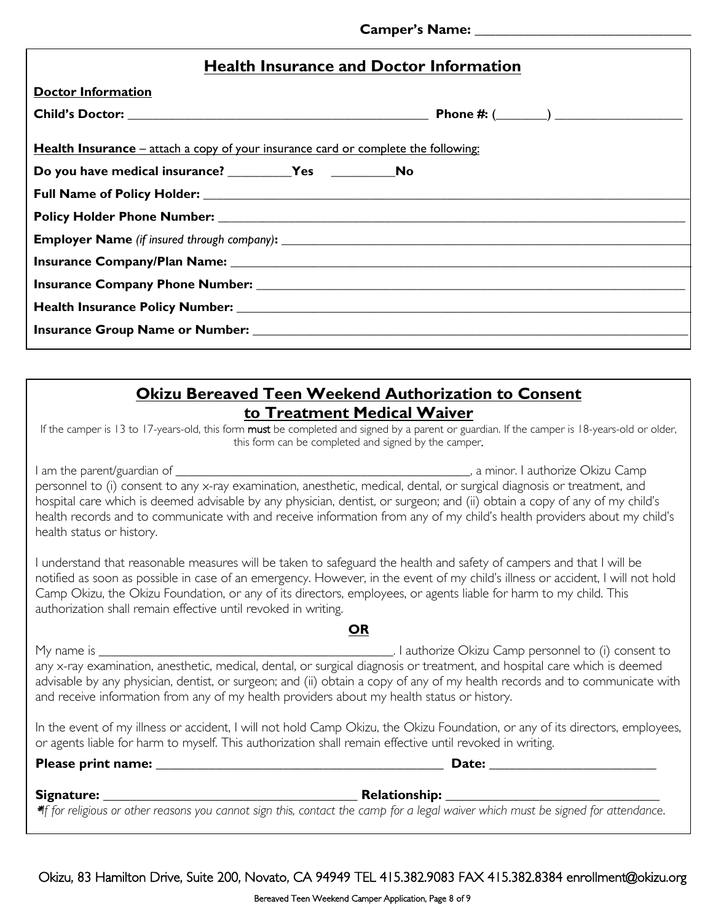|  |  |  |  |  | <b>Health Insurance and Doctor Information</b> |
|--|--|--|--|--|------------------------------------------------|
|--|--|--|--|--|------------------------------------------------|

| <b>Doctor Information</b>                                                                 |  |
|-------------------------------------------------------------------------------------------|--|
|                                                                                           |  |
| <b>Health Insurance</b> – attach a copy of your insurance card or complete the following: |  |
|                                                                                           |  |
|                                                                                           |  |
|                                                                                           |  |
|                                                                                           |  |
|                                                                                           |  |
|                                                                                           |  |
|                                                                                           |  |
|                                                                                           |  |

### **Okizu Bereaved Teen Weekend Authorization to Consent to Treatment Medical Waiver**

If the camper is 13 to 17-years-old, this form must be completed and signed by a parent or guardian. If the camper is 18-years-old or older, this form can be completed and signed by the camper.

I am the parent/guardian of \_\_\_\_\_\_\_\_\_\_\_\_\_\_\_\_\_\_\_\_\_\_\_\_\_\_\_\_\_\_\_\_\_\_\_\_\_\_\_\_\_\_\_\_\_\_, a minor. I authorize Okizu Camp personnel to (i) consent to any x-ray examination, anesthetic, medical, dental, or surgical diagnosis or treatment, and hospital care which is deemed advisable by any physician, dentist, or surgeon; and (ii) obtain a copy of any of my child's health records and to communicate with and receive information from any of my child's health providers about my child's health status or history.

I understand that reasonable measures will be taken to safeguard the health and safety of campers and that I will be notified as soon as possible in case of an emergency. However, in the event of my child's illness or accident, I will not hold Camp Okizu, the Okizu Foundation, or any of its directors, employees, or agents liable for harm to my child. This authorization shall remain effective until revoked in writing.

#### **OR**

My name is \_\_\_\_\_\_\_\_\_\_\_\_\_\_\_\_\_\_\_\_\_\_\_\_\_\_\_\_\_\_\_\_\_\_\_\_\_\_\_\_\_\_\_\_\_\_. I authorize Okizu Camp personnel to (i) consent to any x-ray examination, anesthetic, medical, dental, or surgical diagnosis or treatment, and hospital care which is deemed advisable by any physician, dentist, or surgeon; and (ii) obtain a copy of any of my health records and to communicate with and receive information from any of my health providers about my health status or history.

In the event of my illness or accident, I will not hold Camp Okizu, the Okizu Foundation, or any of its directors, employees, or agents liable for harm to myself. This authorization shall remain effective until revoked in writing.

### **Please print name: \_\_\_\_\_\_\_\_\_\_\_\_\_\_\_\_\_\_\_\_\_\_\_\_\_\_\_\_\_\_\_\_\_\_\_\_\_\_\_\_\_\_\_ Date: \_\_\_\_\_\_\_\_\_\_\_\_\_\_\_\_\_\_\_\_\_\_\_\_\_**

### **Signature: \_\_\_\_\_\_\_\_\_\_\_\_\_\_\_\_\_\_\_\_\_\_\_\_\_\_\_\_\_\_\_\_\_\_\_\_\_\_ Relationship: \_\_\_\_\_\_\_\_\_\_\_\_\_\_\_\_\_\_\_\_\_\_\_\_\_\_\_\_\_\_\_\_**

\**If for religious or other reasons you cannot sign this, contact the camp for a legal waiver which must be signed for attendance*.